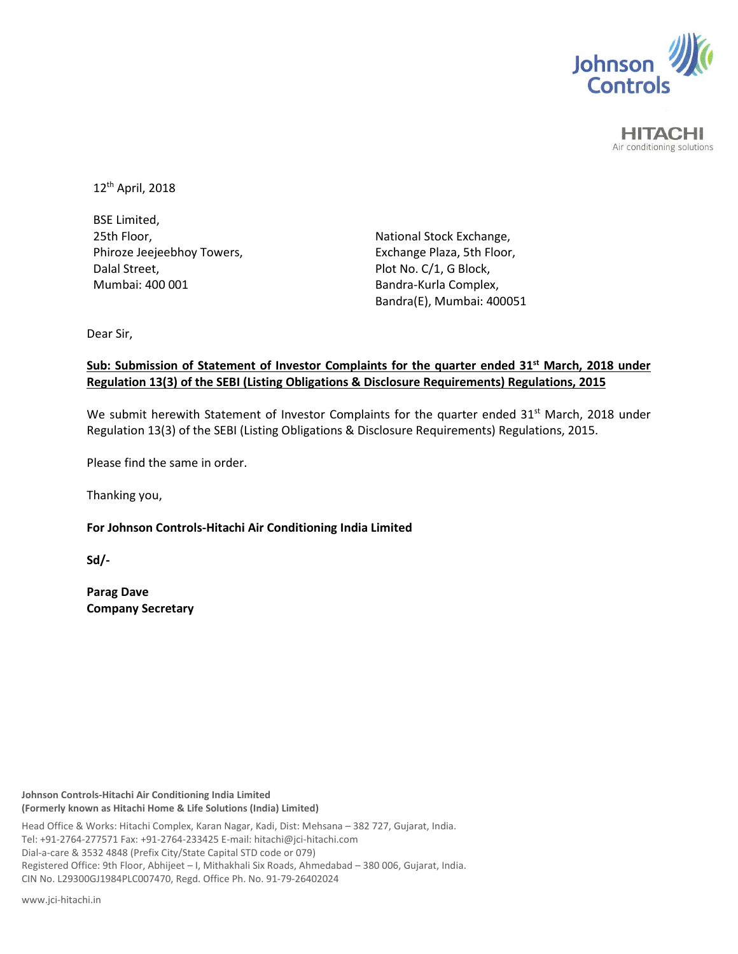

**HITACHI** Air conditioning solutions

12th April, 2018

BSE Limited, 25th Floor, Phiroze Jeejeebhoy Towers, Dalal Street, Mumbai: 400 001

National Stock Exchange, Exchange Plaza, 5th Floor, Plot No. C/1, G Block, Bandra-Kurla Complex, Bandra(E), Mumbai: 400051

Dear Sir,

# **Sub: Submission of Statement of Investor Complaints for the quarter ended 31st March, 2018 under Regulation 13(3) of the SEBI (Listing Obligations & Disclosure Requirements) Regulations, 2015**

We submit herewith Statement of Investor Complaints for the quarter ended  $31<sup>st</sup>$  March, 2018 under Regulation 13(3) of the SEBI (Listing Obligations & Disclosure Requirements) Regulations, 2015.

Please find the same in order.

Thanking you,

**For Johnson Controls-Hitachi Air Conditioning India Limited** 

**Sd/-** 

**Parag Dave Company Secretary** 

**Johnson Controls-Hitachi Air Conditioning India Limited (Formerly known as Hitachi Home & Life Solutions (India) Limited)**

Head Office & Works: Hitachi Complex, Karan Nagar, Kadi, Dist: Mehsana – 382 727, Gujarat, India. Tel: +91-2764-277571 Fax: +91-2764-233425 E-mail: hitachi@jci-hitachi.com Dial-a-care & 3532 4848 (Prefix City/State Capital STD code or 079) Registered Office: 9th Floor, Abhijeet – I, Mithakhali Six Roads, Ahmedabad – 380 006, Gujarat, India. CIN No. L29300GJ1984PLC007470, Regd. Office Ph. No. 91-79-26402024

www.jci-hitachi.in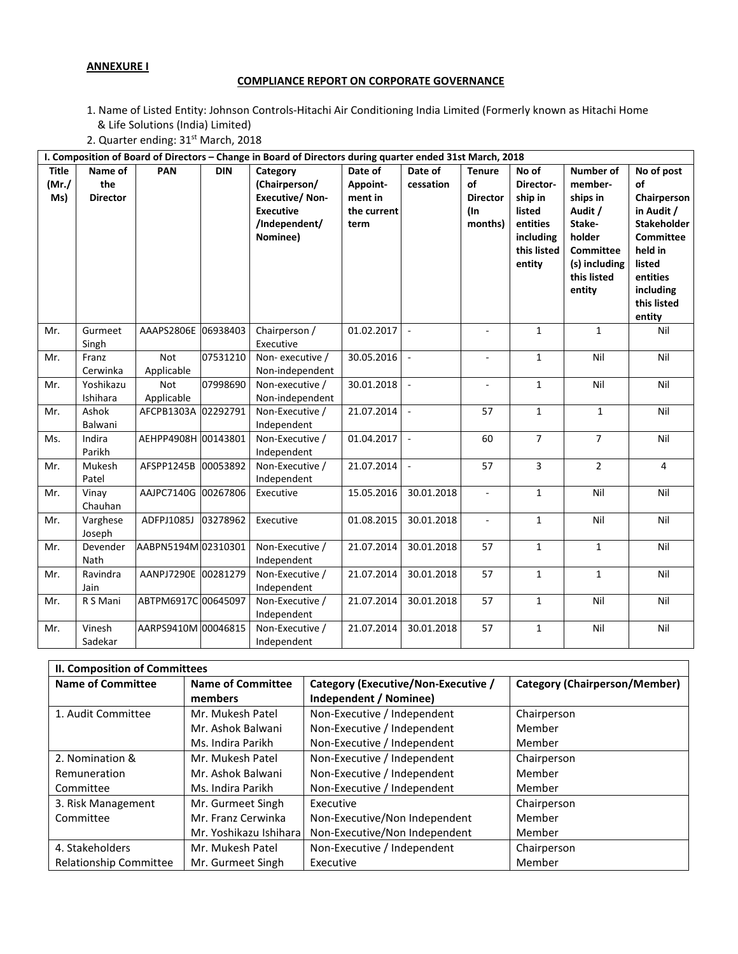# **ANNEXURE I**

# **COMPLIANCE REPORT ON CORPORATE GOVERNANCE**

- 1. Name of Listed Entity: Johnson Controls-Hitachi Air Conditioning India Limited (Formerly known as Hitachi Home & Life Solutions (India) Limited)
- 2. Quarter ending: 31<sup>st</sup> March, 2018

| I. Composition of Board of Directors - Change in Board of Directors during quarter ended 31st March, 2018 |                                   |                     |            |                                                                                                     |                                                       |                          |                                                             |                                                                                           |                                                                                                                               |                                                                                                                                                         |
|-----------------------------------------------------------------------------------------------------------|-----------------------------------|---------------------|------------|-----------------------------------------------------------------------------------------------------|-------------------------------------------------------|--------------------------|-------------------------------------------------------------|-------------------------------------------------------------------------------------------|-------------------------------------------------------------------------------------------------------------------------------|---------------------------------------------------------------------------------------------------------------------------------------------------------|
| <b>Title</b><br>(Mr./)<br>Ms)                                                                             | Name of<br>the<br><b>Director</b> | PAN                 | <b>DIN</b> | Category<br>(Chairperson/<br><b>Executive/Non-</b><br><b>Executive</b><br>/Independent/<br>Nominee) | Date of<br>Appoint-<br>ment in<br>the current<br>term | Date of<br>cessation     | <b>Tenure</b><br>of<br><b>Director</b><br>$($ ln<br>months) | No of<br>Director-<br>ship in<br>listed<br>entities<br>including<br>this listed<br>entity | Number of<br>member-<br>ships in<br>Audit /<br>Stake-<br>holder<br><b>Committee</b><br>(s) including<br>this listed<br>entity | No of post<br>of<br>Chairperson<br>in Audit /<br>Stakeholder<br><b>Committee</b><br>held in<br>listed<br>entities<br>including<br>this listed<br>entity |
| Mr.                                                                                                       | Gurmeet<br>Singh                  | AAAPS2806E 06938403 |            | Chairperson /<br>Executive                                                                          | 01.02.2017                                            | $\sim$                   |                                                             | $\mathbf{1}$                                                                              | $\mathbf{1}$                                                                                                                  | Nil                                                                                                                                                     |
| Mr.                                                                                                       | Franz<br>Cerwinka                 | Not<br>Applicable   | 07531210   | Non-executive /<br>Non-independent                                                                  | 30.05.2016                                            | $\sim$                   |                                                             | $\mathbf{1}$                                                                              | Nil                                                                                                                           | Nil                                                                                                                                                     |
| Mr.                                                                                                       | Yoshikazu<br>Ishihara             | Not<br>Applicable   | 07998690   | Non-executive /<br>Non-independent                                                                  | 30.01.2018                                            | $\sim$                   | ٠                                                           | $\mathbf{1}$                                                                              | Nil                                                                                                                           | Nil                                                                                                                                                     |
| Mr.                                                                                                       | Ashok<br>Balwani                  | AFCPB1303A 02292791 |            | Non-Executive /<br>Independent                                                                      | 21.07.2014                                            | $\sim$                   | 57                                                          | $\mathbf{1}$                                                                              | $\mathbf{1}$                                                                                                                  | Nil                                                                                                                                                     |
| Ms.                                                                                                       | Indira<br>Parikh                  | AEHPP4908H 00143801 |            | Non-Executive /<br>Independent                                                                      | 01.04.2017                                            | $\overline{\phantom{a}}$ | 60                                                          | $\overline{7}$                                                                            | $\overline{7}$                                                                                                                | Nil                                                                                                                                                     |
| Mr.                                                                                                       | Mukesh<br>Patel                   | AFSPP1245B          | 00053892   | Non-Executive /<br>Independent                                                                      | 21.07.2014                                            | $\sim$                   | 57                                                          | 3                                                                                         | $\overline{2}$                                                                                                                | $\overline{4}$                                                                                                                                          |
| Mr.                                                                                                       | Vinay<br>Chauhan                  | AAJPC7140G          | 00267806   | Executive                                                                                           | 15.05.2016                                            | 30.01.2018               | $\overline{\phantom{a}}$                                    | $\mathbf{1}$                                                                              | Nil                                                                                                                           | Nil                                                                                                                                                     |
| Mr.                                                                                                       | Varghese<br>Joseph                | ADFPJ1085J          | 03278962   | Executive                                                                                           | 01.08.2015                                            | 30.01.2018               | $\overline{\phantom{a}}$                                    | $\mathbf{1}$                                                                              | Nil                                                                                                                           | Nil                                                                                                                                                     |
| Mr.                                                                                                       | Devender<br>Nath                  | AABPN5194M 02310301 |            | Non-Executive /<br>Independent                                                                      | 21.07.2014                                            | 30.01.2018               | 57                                                          | $\mathbf{1}$                                                                              | $\mathbf{1}$                                                                                                                  | Nil                                                                                                                                                     |
| Mr.                                                                                                       | Ravindra<br>Jain                  | AANPJ7290E 00281279 |            | Non-Executive /<br>Independent                                                                      | 21.07.2014                                            | 30.01.2018               | 57                                                          | $\mathbf{1}$                                                                              | $\mathbf{1}$                                                                                                                  | Nil                                                                                                                                                     |
| Mr.                                                                                                       | R S Mani                          | ABTPM6917C 00645097 |            | Non-Executive /<br>Independent                                                                      | 21.07.2014                                            | 30.01.2018               | 57                                                          | $\mathbf{1}$                                                                              | Nil                                                                                                                           | Nil                                                                                                                                                     |
| Mr.                                                                                                       | Vinesh<br>Sadekar                 | AARPS9410M 00046815 |            | Non-Executive /<br>Independent                                                                      | 21.07.2014                                            | 30.01.2018               | 57                                                          | $\mathbf{1}$                                                                              | Nil                                                                                                                           | Nil                                                                                                                                                     |

| <b>II. Composition of Committees</b> |                          |                                     |                                      |  |  |  |
|--------------------------------------|--------------------------|-------------------------------------|--------------------------------------|--|--|--|
| <b>Name of Committee</b>             | <b>Name of Committee</b> | Category (Executive/Non-Executive / | <b>Category (Chairperson/Member)</b> |  |  |  |
|                                      | members                  | Independent / Nominee)              |                                      |  |  |  |
| 1. Audit Committee                   | Mr. Mukesh Patel         | Non-Executive / Independent         | Chairperson                          |  |  |  |
|                                      | Mr. Ashok Balwani        | Non-Executive / Independent         | Member                               |  |  |  |
|                                      | Ms. Indira Parikh        | Non-Executive / Independent         | Member                               |  |  |  |
| 2. Nomination &                      | Mr. Mukesh Patel         | Non-Executive / Independent         | Chairperson                          |  |  |  |
| Remuneration                         | Mr. Ashok Balwani        | Non-Executive / Independent         | Member                               |  |  |  |
| Committee                            | Ms. Indira Parikh        | Non-Executive / Independent         | Member                               |  |  |  |
| 3. Risk Management                   | Mr. Gurmeet Singh        | Executive                           | Chairperson                          |  |  |  |
| Committee                            | Mr. Franz Cerwinka       | Non-Executive/Non Independent       | Member                               |  |  |  |
|                                      | Mr. Yoshikazu Ishiharal  | Non-Executive/Non Independent       | Member                               |  |  |  |
| 4. Stakeholders                      | Mr. Mukesh Patel         | Non-Executive / Independent         | Chairperson                          |  |  |  |
| <b>Relationship Committee</b>        | Mr. Gurmeet Singh        | Executive                           | Member                               |  |  |  |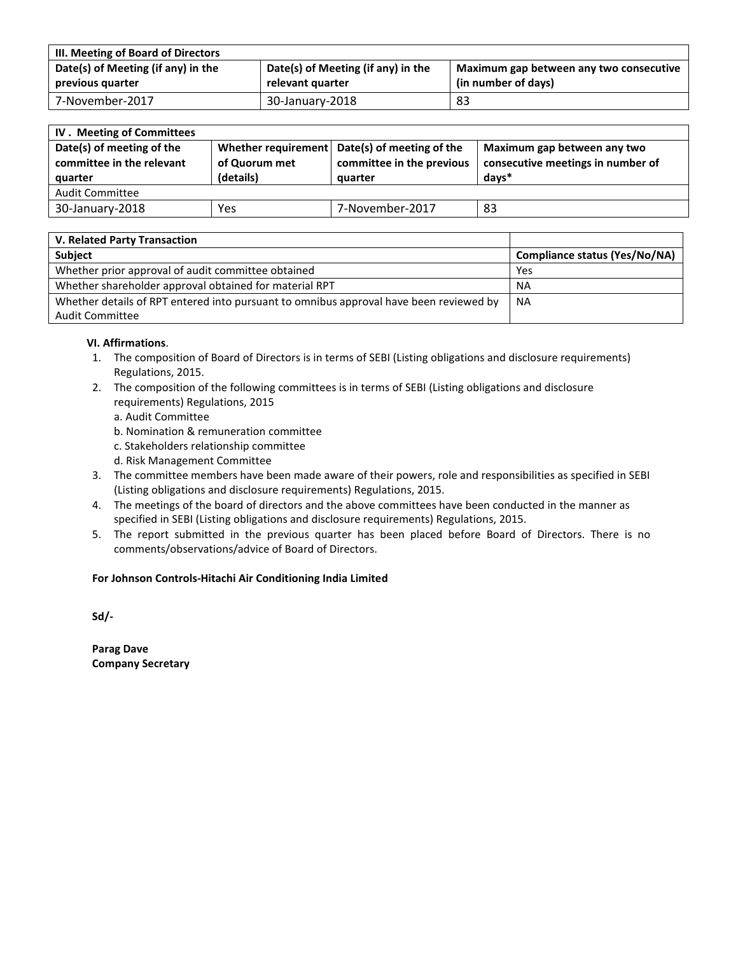| III. Meeting of Board of Directors |                                    |                                         |  |  |  |  |
|------------------------------------|------------------------------------|-----------------------------------------|--|--|--|--|
| Date(s) of Meeting (if any) in the | Date(s) of Meeting (if any) in the | Maximum gap between any two consecutive |  |  |  |  |
| previous quarter                   | relevant quarter                   | (in number of days)                     |  |  |  |  |
| 7-November-2017                    | 30-January-2018                    | 83                                      |  |  |  |  |

| <b>IV.</b> Meeting of Committees                                  |                            |                                                                                       |                                                                           |  |  |  |
|-------------------------------------------------------------------|----------------------------|---------------------------------------------------------------------------------------|---------------------------------------------------------------------------|--|--|--|
| Date(s) of meeting of the<br>committee in the relevant<br>quarter | of Quorum met<br>(details) | Whether requirement Date(s) of meeting of the<br>committee in the previous<br>auarter | Maximum gap between any two<br>consecutive meetings in number of<br>davs* |  |  |  |
| <b>Audit Committee</b>                                            |                            |                                                                                       |                                                                           |  |  |  |
| 30-January-2018                                                   | Yes                        | 7-November-2017                                                                       | 83                                                                        |  |  |  |

| V. Related Party Transaction                                                           |                                      |
|----------------------------------------------------------------------------------------|--------------------------------------|
| <b>Subject</b>                                                                         | <b>Compliance status (Yes/No/NA)</b> |
| Whether prior approval of audit committee obtained                                     | Yes                                  |
| Whether shareholder approval obtained for material RPT                                 | <b>NA</b>                            |
| Whether details of RPT entered into pursuant to omnibus approval have been reviewed by | <b>NA</b>                            |
| <b>Audit Committee</b>                                                                 |                                      |

#### **VI. Affirmations**.

- 1. The composition of Board of Directors is in terms of SEBI (Listing obligations and disclosure requirements) Regulations, 2015.
- 2. The composition of the following committees is in terms of SEBI (Listing obligations and disclosure requirements) Regulations, 2015
	- a. Audit Committee
	- b. Nomination & remuneration committee
	- c. Stakeholders relationship committee
	- d. Risk Management Committee
- 3. The committee members have been made aware of their powers, role and responsibilities as specified in SEBI (Listing obligations and disclosure requirements) Regulations, 2015.
- 4. The meetings of the board of directors and the above committees have been conducted in the manner as specified in SEBI (Listing obligations and disclosure requirements) Regulations, 2015.
- 5. The report submitted in the previous quarter has been placed before Board of Directors. There is no comments/observations/advice of Board of Directors.

#### **For Johnson Controls-Hitachi Air Conditioning India Limited**

**Sd/-** 

**Parag Dave Company Secretary**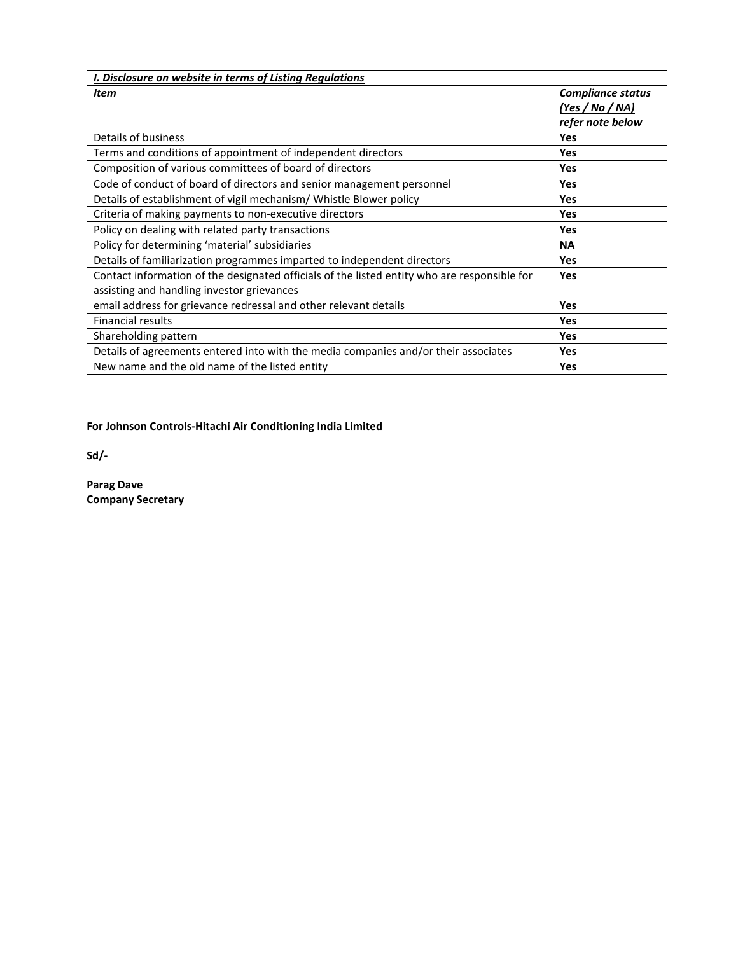| <b>I. Disclosure on website in terms of Listing Regulations</b>                              |                   |  |  |  |  |
|----------------------------------------------------------------------------------------------|-------------------|--|--|--|--|
| Item                                                                                         | Compliance status |  |  |  |  |
|                                                                                              | (Yes / No / NA)   |  |  |  |  |
|                                                                                              | refer note below  |  |  |  |  |
| Details of business                                                                          | Yes               |  |  |  |  |
| Terms and conditions of appointment of independent directors                                 | <b>Yes</b>        |  |  |  |  |
| Composition of various committees of board of directors                                      | Yes               |  |  |  |  |
| Code of conduct of board of directors and senior management personnel                        | <b>Yes</b>        |  |  |  |  |
| Details of establishment of vigil mechanism/ Whistle Blower policy                           | <b>Yes</b>        |  |  |  |  |
| Criteria of making payments to non-executive directors                                       | <b>Yes</b>        |  |  |  |  |
| Policy on dealing with related party transactions                                            | Yes               |  |  |  |  |
| Policy for determining 'material' subsidiaries                                               | <b>NA</b>         |  |  |  |  |
| Details of familiarization programmes imparted to independent directors                      | <b>Yes</b>        |  |  |  |  |
| Contact information of the designated officials of the listed entity who are responsible for | <b>Yes</b>        |  |  |  |  |
| assisting and handling investor grievances                                                   |                   |  |  |  |  |
| email address for grievance redressal and other relevant details                             | <b>Yes</b>        |  |  |  |  |
| <b>Financial results</b>                                                                     | Yes               |  |  |  |  |
| Shareholding pattern                                                                         | Yes               |  |  |  |  |
| Details of agreements entered into with the media companies and/or their associates          | Yes               |  |  |  |  |
| New name and the old name of the listed entity                                               | <b>Yes</b>        |  |  |  |  |

**For Johnson Controls-Hitachi Air Conditioning India Limited** 

**Sd/-** 

**Parag Dave Company Secretary**